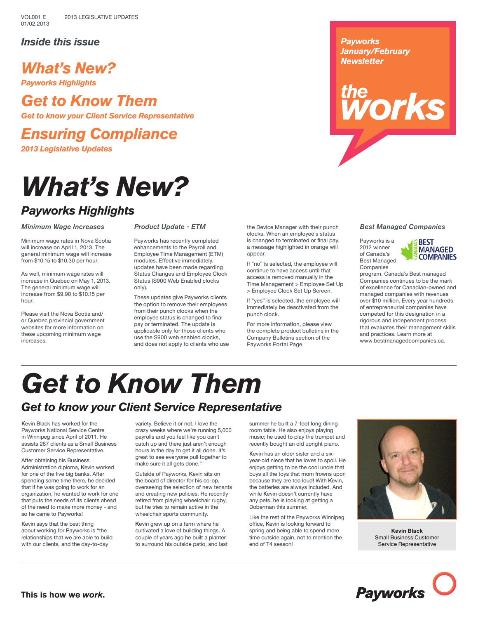### *Inside this issue*

# *What's New?*

*Payworks Highlights*

# *Get to Know Them*

*Get to know your Client Service Representative*

*Ensuring Compliance 2013 Legislative Updates*

# *What's New?*

## *Payworks Highlights*

#### *Minimum Wage Increases*

Minimum wage rates in Nova Scotia will increase on April 1, 2013. The general minimum wage will increase from \$10.15 to \$10.30 per hour.

As well, minimum wage rates will increase in Quebec on May 1, 2013. The general minimum wage will increase from \$9.90 to \$10.15 per hour.

Please visit the Nova Scotia and/ or Quebec provincial government websites for more information on these upcoming minimum wage increases.

#### *Product Update - ETM*

Payworks has recently completed enhancements to the Payroll and Employee Time Management (ETM) modules. Effective immediately, updates have been made regarding Status Changes and Employee Clock Status (S900 Web Enabled clocks only).

These updates give Payworks clients the option to remove their employees from their punch clocks when the employee status is changed to final pay or terminated. The update is applicable only for those clients who use the S900 web enabled clocks, and does not apply to clients who use the Device Manager with their punch clocks. When an employee's status is changed to terminated or final pay, a message highlighted in orange will appear.

If "no" is selected, the employee will continue to have access until that access is removed manually in the Time Management > Employee Set Up > Employee Clock Set Up Screen.

If "yes" is selected, the employee will immediately be deactivated from the punch clock.

For more information, please view the complete product bulletins in the Company Bulletins section of the Payworks Portal Page.

#### *Payworks January/February Newsletter*

# *Morks*

#### *Best Managed Companies*

Payworks is a 2012 winner of Canada's Best Managed Companies



program. Canada's Best managed Companies continues to be the mark of excellence for Canadian-owned and managed companies with revenues over \$10 million. Every year hundreds of entrepreneurial companies have competed for this designation in a rigorous and independent process that evaluates their management skills and practices. Learn more at www.bestmanagedcompanies.ca.

# *Get to Know Them*

# *Get to know your Client Service Representative*

Kevin Black has worked for the Payworks National Service Centre in Winnipeg since April of 2011. He assists 287 clients as a Small Business Customer Service Representative.

After obtaining his Business Administration diploma, Kevin worked for one of the five big banks. After spending some time there, he decided that if he was going to work for an organization, he wanted to work for one that puts the needs of its clients ahead of the need to make more money - and so he came to Payworks!

Kevin says that the best thing about working for Payworks is "the relationships that we are able to build with our clients, and the day-to-day

variety. Believe it or not, I love the crazy weeks where we're running 5,000 payrolls and you feel like you can't catch up and there just aren't enough hours in the day to get it all done. It's great to see everyone pull together to make sure it all gets done."

Outside of Payworks, Kevin sits on the board of director for his co-op, overseeing the selection of new tenants and creating new policies. He recently retired from playing wheelchair rugby, but he tries to remain active in the wheelchair sports community.

Kevin grew up on a farm where he cultivated a love of building things. A couple of years ago he built a planter to surround his outside patio, and last summer he built a 7-foot long dining room table. He also enjoys playing music; he used to play the trumpet and recently bought an old upright piano.

Kevin has an older sister and a sixyear-old niece that he loves to spoil. He enjoys getting to be the cool uncle that buys all the toys that mom frowns upon because they are too loud! With Kevin, the batteries are always included. And while Kevin doesn't currently have any pets, he is looking at getting a Doberman this summer.

Like the rest of the Payworks Winnipeg office, Kevin is looking forward to spring and being able to spend more time outside again, not to mention the end of T4 season!



**Kevin Black** Small Business Customer Service Representative